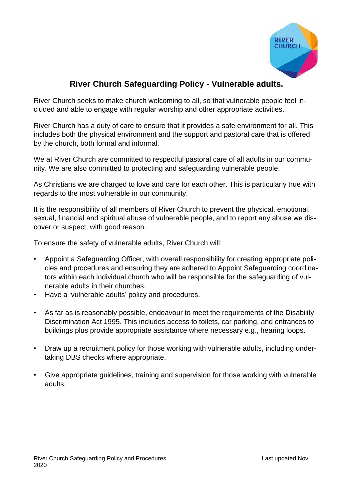

# **River Church Safeguarding Policy - Vulnerable adults.**

River Church seeks to make church welcoming to all, so that vulnerable people feel included and able to engage with regular worship and other appropriate activities.

River Church has a duty of care to ensure that it provides a safe environment for all. This includes both the physical environment and the support and pastoral care that is offered by the church, both formal and informal.

We at River Church are committed to respectful pastoral care of all adults in our community. We are also committed to protecting and safeguarding vulnerable people.

As Christians we are charged to love and care for each other. This is particularly true with regards to the most vulnerable in our community.

It is the responsibility of all members of River Church to prevent the physical, emotional, sexual, financial and spiritual abuse of vulnerable people, and to report any abuse we discover or suspect, with good reason.

To ensure the safety of vulnerable adults, River Church will:

- Appoint a Safeguarding Officer, with overall responsibility for creating appropriate policies and procedures and ensuring they are adhered to Appoint Safeguarding coordinators within each individual church who will be responsible for the safeguarding of vulnerable adults in their churches.
- Have a 'vulnerable adults' policy and procedures.
- As far as is reasonably possible, endeavour to meet the requirements of the Disability Discrimination Act 1995. This includes access to toilets, car parking, and entrances to buildings plus provide appropriate assistance where necessary e.g., hearing loops.
- Draw up a recruitment policy for those working with vulnerable adults, including undertaking DBS checks where appropriate.
- Give appropriate guidelines, training and supervision for those working with vulnerable adults.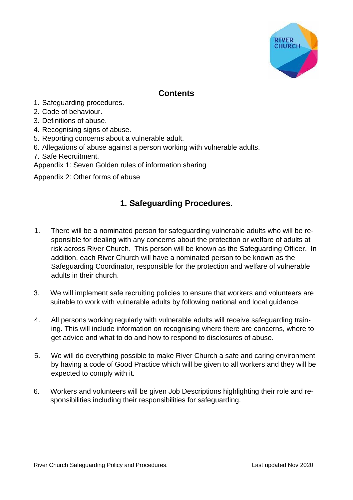

# **Contents**

- 1. Safeguarding procedures.
- 2. Code of behaviour.
- 3. Definitions of abuse.
- 4. Recognising signs of abuse.
- 5. Reporting concerns about a vulnerable adult.
- 6. Allegations of abuse against a person working with vulnerable adults.
- 7. Safe Recruitment.
- Appendix 1: Seven Golden rules of information sharing

Appendix 2: Other forms of abuse

# **1. Safeguarding Procedures.**

- 1. There will be a nominated person for safeguarding vulnerable adults who will be responsible for dealing with any concerns about the protection or welfare of adults at risk across River Church. This person will be known as the Safeguarding Officer. In addition, each River Church will have a nominated person to be known as the Safeguarding Coordinator, responsible for the protection and welfare of vulnerable adults in their church.
- 3. We will implement safe recruiting policies to ensure that workers and volunteers are suitable to work with vulnerable adults by following national and local guidance.
- 4. All persons working regularly with vulnerable adults will receive safeguarding training. This will include information on recognising where there are concerns, where to get advice and what to do and how to respond to disclosures of abuse.
- 5. We will do everything possible to make River Church a safe and caring environment by having a code of Good Practice which will be given to all workers and they will be expected to comply with it.
- 6. Workers and volunteers will be given Job Descriptions highlighting their role and responsibilities including their responsibilities for safeguarding.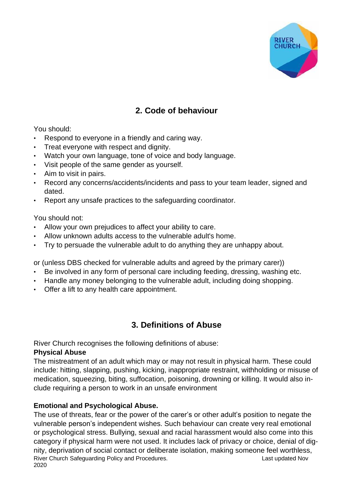

# **2. Code of behaviour**

You should:

- Respond to everyone in a friendly and caring way.
- Treat everyone with respect and dignity.
- Watch your own language, tone of voice and body language.
- Visit people of the same gender as yourself.
- Aim to visit in pairs.
- Record any concerns/accidents/incidents and pass to your team leader, signed and dated.
- Report any unsafe practices to the safeguarding coordinator.

You should not:

- Allow your own prejudices to affect your ability to care.
- Allow unknown adults access to the vulnerable adult's home.
- Try to persuade the vulnerable adult to do anything they are unhappy about.

or (unless DBS checked for vulnerable adults and agreed by the primary carer))

- Be involved in any form of personal care including feeding, dressing, washing etc.
- Handle any money belonging to the vulnerable adult, including doing shopping.
- Offer a lift to any health care appointment.

# **3. Definitions of Abuse**

River Church recognises the following definitions of abuse:

## **Physical Abuse**

The mistreatment of an adult which may or may not result in physical harm. These could include: hitting, slapping, pushing, kicking, inappropriate restraint, withholding or misuse of medication, squeezing, biting, suffocation, poisoning, drowning or killing. It would also include requiring a person to work in an unsafe environment

## **Emotional and Psychological Abuse.**

River Church Safeguarding Policy and Procedures.<br>
Last updated Nov 2020 The use of threats, fear or the power of the carer's or other adult's position to negate the vulnerable person's independent wishes. Such behaviour can create very real emotional or psychological stress. Bullying, sexual and racial harassment would also come into this category if physical harm were not used. It includes lack of privacy or choice, denial of dignity, deprivation of social contact or deliberate isolation, making someone feel worthless,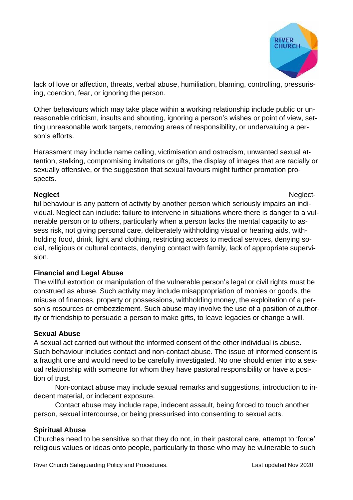

lack of love or affection, threats, verbal abuse, humiliation, blaming, controlling, pressurising, coercion, fear, or ignoring the person.

Other behaviours which may take place within a working relationship include public or unreasonable criticism, insults and shouting, ignoring a person's wishes or point of view, setting unreasonable work targets, removing areas of responsibility, or undervaluing a person's efforts.

Harassment may include name calling, victimisation and ostracism, unwanted sexual attention, stalking, compromising invitations or gifts, the display of images that are racially or sexually offensive, or the suggestion that sexual favours might further promotion prospects.

### **Neglect** Neglect-

ful behaviour is any pattern of activity by another person which seriously impairs an individual. Neglect can include: failure to intervene in situations where there is danger to a vulnerable person or to others, particularly when a person lacks the mental capacity to assess risk, not giving personal care, deliberately withholding visual or hearing aids, withholding food, drink, light and clothing, restricting access to medical services, denying social, religious or cultural contacts, denying contact with family, lack of appropriate supervision.

## **Financial and Legal Abuse**

The willful extortion or manipulation of the vulnerable person's legal or civil rights must be construed as abuse. Such activity may include misappropriation of monies or goods, the misuse of finances, property or possessions, withholding money, the exploitation of a person's resources or embezzlement. Such abuse may involve the use of a position of authority or friendship to persuade a person to make gifts, to leave legacies or change a will.

### **Sexual Abuse**

A sexual act carried out without the informed consent of the other individual is abuse. Such behaviour includes contact and non-contact abuse. The issue of informed consent is a fraught one and would need to be carefully investigated. No one should enter into a sexual relationship with someone for whom they have pastoral responsibility or have a position of trust.

Non-contact abuse may include sexual remarks and suggestions, introduction to indecent material, or indecent exposure.

Contact abuse may include rape, indecent assault, being forced to touch another person, sexual intercourse, or being pressurised into consenting to sexual acts.

### **Spiritual Abuse**

Churches need to be sensitive so that they do not, in their pastoral care, attempt to 'force' religious values or ideas onto people, particularly to those who may be vulnerable to such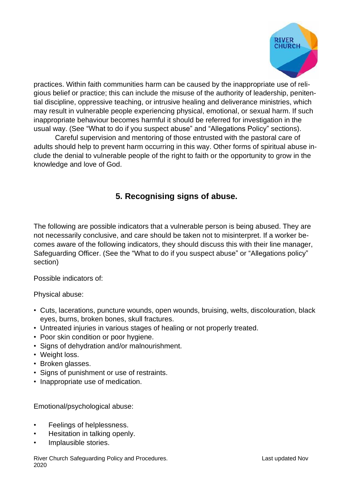

practices. Within faith communities harm can be caused by the inappropriate use of religious belief or practice; this can include the misuse of the authority of leadership, penitential discipline, oppressive teaching, or intrusive healing and deliverance ministries, which may result in vulnerable people experiencing physical, emotional, or sexual harm. If such inappropriate behaviour becomes harmful it should be referred for investigation in the usual way. (See "What to do if you suspect abuse" and "Allegations Policy" sections).

Careful supervision and mentoring of those entrusted with the pastoral care of adults should help to prevent harm occurring in this way. Other forms of spiritual abuse include the denial to vulnerable people of the right to faith or the opportunity to grow in the knowledge and love of God.

# **5. Recognising signs of abuse.**

The following are possible indicators that a vulnerable person is being abused. They are not necessarily conclusive, and care should be taken not to misinterpret. If a worker becomes aware of the following indicators, they should discuss this with their line manager, Safeguarding Officer. (See the "What to do if you suspect abuse" or "Allegations policy" section)

Possible indicators of:

Physical abuse:

- Cuts, lacerations, puncture wounds, open wounds, bruising, welts, discolouration, black eyes, burns, broken bones, skull fractures.
- Untreated injuries in various stages of healing or not properly treated.
- Poor skin condition or poor hygiene.
- Signs of dehydration and/or malnourishment.
- Weight loss.
- Broken glasses.
- Signs of punishment or use of restraints.
- Inappropriate use of medication.

Emotional/psychological abuse:

- Feelings of helplessness.
- Hesitation in talking openly.
- Implausible stories.

River Church Safeguarding Policy and Procedures. The Channel Control of Last updated Nov 2020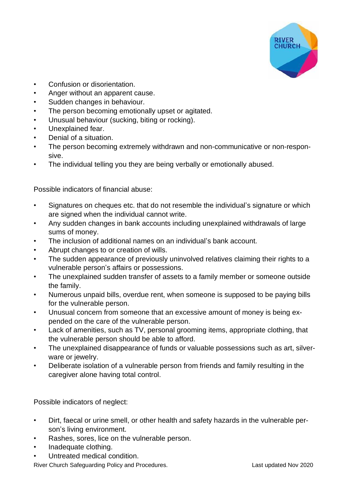

- Confusion or disorientation.
- Anger without an apparent cause.
- Sudden changes in behaviour.
- The person becoming emotionally upset or agitated.
- Unusual behaviour (sucking, biting or rocking).
- Unexplained fear.
- Denial of a situation.
- The person becoming extremely withdrawn and non-communicative or non-responsive.
- The individual telling you they are being verbally or emotionally abused.

Possible indicators of financial abuse:

- Signatures on cheques etc. that do not resemble the individual's signature or which are signed when the individual cannot write.
- Any sudden changes in bank accounts including unexplained withdrawals of large sums of money.
- The inclusion of additional names on an individual's bank account.
- Abrupt changes to or creation of wills.
- The sudden appearance of previously uninvolved relatives claiming their rights to a vulnerable person's affairs or possessions.
- The unexplained sudden transfer of assets to a family member or someone outside the family.
- Numerous unpaid bills, overdue rent, when someone is supposed to be paying bills for the vulnerable person.
- Unusual concern from someone that an excessive amount of money is being expended on the care of the vulnerable person.
- Lack of amenities, such as TV, personal grooming items, appropriate clothing, that the vulnerable person should be able to afford.
- The unexplained disappearance of funds or valuable possessions such as art, silverware or jewelry.
- Deliberate isolation of a vulnerable person from friends and family resulting in the caregiver alone having total control.

Possible indicators of neglect:

- Dirt, faecal or urine smell, or other health and safety hazards in the vulnerable person's living environment.
- Rashes, sores, lice on the vulnerable person.
- Inadequate clothing.
- Untreated medical condition.

River Church Safeguarding Policy and Procedures.<br>
Last updated Nov 2020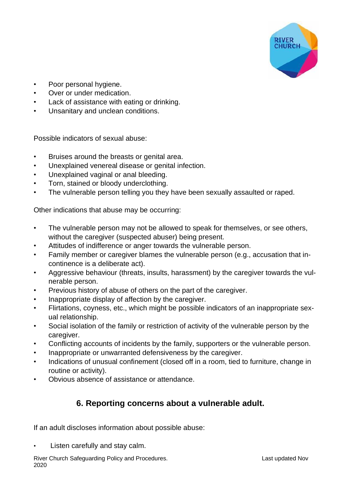

- Poor personal hygiene.
- Over or under medication.
- Lack of assistance with eating or drinking.
- Unsanitary and unclean conditions.

Possible indicators of sexual abuse:

- Bruises around the breasts or genital area.
- Unexplained venereal disease or genital infection.
- Unexplained vaginal or anal bleeding.
- Torn, stained or bloody underclothing.
- The vulnerable person telling you they have been sexually assaulted or raped.

Other indications that abuse may be occurring:

- The vulnerable person may not be allowed to speak for themselves, or see others, without the caregiver (suspected abuser) being present.
- Attitudes of indifference or anger towards the vulnerable person.
- Family member or caregiver blames the vulnerable person (e.g., accusation that incontinence is a deliberate act).
- Aggressive behaviour (threats, insults, harassment) by the caregiver towards the vulnerable person.
- Previous history of abuse of others on the part of the caregiver.
- Inappropriate display of affection by the caregiver.
- Flirtations, coyness, etc., which might be possible indicators of an inappropriate sexual relationship.
- Social isolation of the family or restriction of activity of the vulnerable person by the caregiver.
- Conflicting accounts of incidents by the family, supporters or the vulnerable person.
- Inappropriate or unwarranted defensiveness by the caregiver.
- Indications of unusual confinement (closed off in a room, tied to furniture, change in routine or activity).
- Obvious absence of assistance or attendance.

# **6. Reporting concerns about a vulnerable adult.**

If an adult discloses information about possible abuse:

Listen carefully and stay calm.

River Church Safeguarding Policy and Procedures. The Contract of the Last updated Nov 2020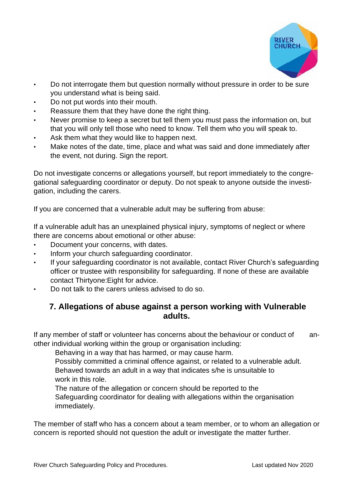

- Do not interrogate them but question normally without pressure in order to be sure you understand what is being said.
- Do not put words into their mouth.
- Reassure them that they have done the right thing.
- Never promise to keep a secret but tell them you must pass the information on, but that you will only tell those who need to know. Tell them who you will speak to.
- Ask them what they would like to happen next.
- Make notes of the date, time, place and what was said and done immediately after the event, not during. Sign the report.

Do not investigate concerns or allegations yourself, but report immediately to the congregational safeguarding coordinator or deputy. Do not speak to anyone outside the investigation, including the carers.

If you are concerned that a vulnerable adult may be suffering from abuse:

If a vulnerable adult has an unexplained physical injury, symptoms of neglect or where there are concerns about emotional or other abuse:

- Document your concerns, with dates.
- Inform your church safeguarding coordinator.
- If your safeguarding coordinator is not available, contact River Church's safeguarding officer or trustee with responsibility for safeguarding. If none of these are available contact Thirtyone:Eight for advice.
- Do not talk to the carers unless advised to do so.

## **7. Allegations of abuse against a person working with Vulnerable adults.**

If any member of staff or volunteer has concerns about the behaviour or conduct of another individual working within the group or organisation including:

Behaving in a way that has harmed, or may cause harm.

Possibly committed a criminal offence against, or related to a vulnerable adult. Behaved towards an adult in a way that indicates s/he is unsuitable to work in this role.

The nature of the allegation or concern should be reported to the Safeguarding coordinator for dealing with allegations within the organisation immediately.

The member of staff who has a concern about a team member, or to whom an allegation or concern is reported should not question the adult or investigate the matter further.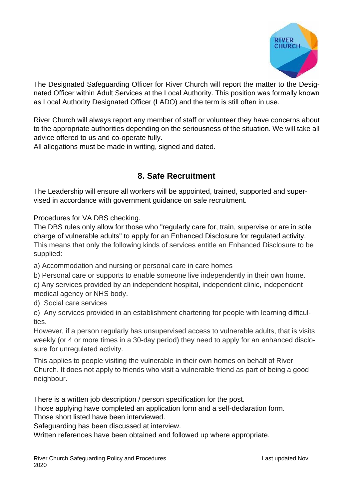

The Designated Safeguarding Officer for River Church will report the matter to the Designated Officer within Adult Services at the Local Authority. This position was formally known as Local Authority Designated Officer (LADO) and the term is still often in use.

River Church will always report any member of staff or volunteer they have concerns about to the appropriate authorities depending on the seriousness of the situation. We will take all advice offered to us and co-operate fully.

All allegations must be made in writing, signed and dated.

# **8. Safe Recruitment**

The Leadership will ensure all workers will be appointed, trained, supported and supervised in accordance with government guidance on safe recruitment.

Procedures for VA DBS checking.

The DBS rules only allow for those who "regularly care for, train, supervise or are in sole charge of vulnerable adults" to apply for an Enhanced Disclosure for regulated activity. This means that only the following kinds of services entitle an Enhanced Disclosure to be supplied:

a) Accommodation and nursing or personal care in care homes

b) Personal care or supports to enable someone live independently in their own home.

c) Any services provided by an independent hospital, independent clinic, independent medical agency or NHS body.

d) Social care services

e) Any services provided in an establishment chartering for people with learning difficulties.

However, if a person regularly has unsupervised access to vulnerable adults, that is visits weekly (or 4 or more times in a 30-day period) they need to apply for an enhanced disclosure for unregulated activity.

This applies to people visiting the vulnerable in their own homes on behalf of River Church. It does not apply to friends who visit a vulnerable friend as part of being a good neighbour.

There is a written job description / person specification for the post.

Those applying have completed an application form and a self-declaration form.

Those short listed have been interviewed.

Safeguarding has been discussed at interview.

Written references have been obtained and followed up where appropriate.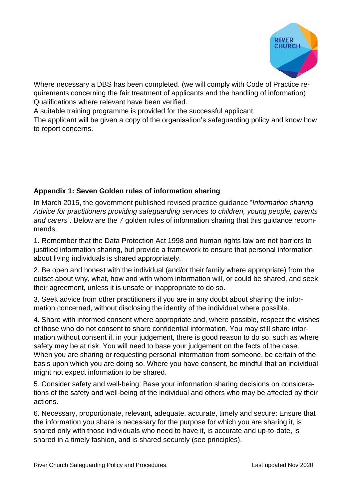

Where necessary a DBS has been completed. (we will comply with Code of Practice requirements concerning the fair treatment of applicants and the handling of information) Qualifications where relevant have been verified.

A suitable training programme is provided for the successful applicant.

The applicant will be given a copy of the organisation's safeguarding policy and know how to report concerns.

## **Appendix 1: Seven Golden rules of information sharing**

In March 2015, the government published revised practice guidance "*Information sharing Advice for practitioners providing safeguarding services to children, young people, parents and carers".* Below are the 7 golden rules of information sharing that this guidance recommends.

1. Remember that the Data Protection Act 1998 and human rights law are not barriers to justified information sharing, but provide a framework to ensure that personal information about living individuals is shared appropriately.

2. Be open and honest with the individual (and/or their family where appropriate) from the outset about why, what, how and with whom information will, or could be shared, and seek their agreement, unless it is unsafe or inappropriate to do so.

3. Seek advice from other practitioners if you are in any doubt about sharing the information concerned, without disclosing the identity of the individual where possible.

4. Share with informed consent where appropriate and, where possible, respect the wishes of those who do not consent to share confidential information. You may still share information without consent if, in your judgement, there is good reason to do so, such as where safety may be at risk. You will need to base your judgement on the facts of the case. When you are sharing or requesting personal information from someone, be certain of the basis upon which you are doing so. Where you have consent, be mindful that an individual might not expect information to be shared.

5. Consider safety and well-being: Base your information sharing decisions on considerations of the safety and well-being of the individual and others who may be affected by their actions.

6. Necessary, proportionate, relevant, adequate, accurate, timely and secure: Ensure that the information you share is necessary for the purpose for which you are sharing it, is shared only with those individuals who need to have it, is accurate and up-to-date, is shared in a timely fashion, and is shared securely (see principles).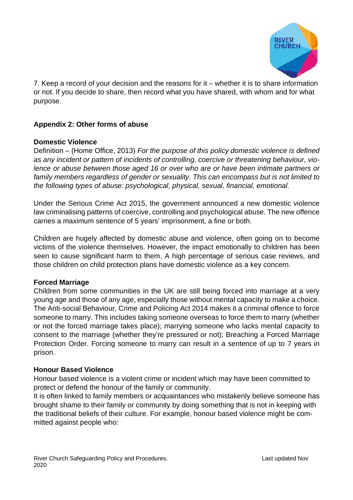

7. Keep a record of your decision and the reasons for it – whether it is to share information or not. If you decide to share, then record what you have shared, with whom and for what purpose.

## **Appendix 2: Other forms of abuse**

### **Domestic Violence**

Definition – (Home Office, 2013) *For the purpose of this policy domestic violence is defined as any incident or pattern of incidents of controlling, coercive or threatening behaviour, violence or abuse between those aged 16 or over who are or have been intimate partners or family members regardless of gender or sexuality. This can encompass but is not limited to the following types of abuse: psychological, physical, sexual, financial, emotional.*

Under the Serious Crime Act 2015, the government announced a new domestic violence law criminalising patterns of coercive, controlling and psychological abuse. The new offence carries a maximum sentence of 5 years' imprisonment, a fine or both.

Children are hugely affected by domestic abuse and violence, often going on to become victims of the violence themselves. However, the impact emotionally to children has been seen to cause significant harm to them. A high percentage of serious case reviews, and those children on child protection plans have domestic violence as a key concern.

### **Forced Marriage**

Children from some communities in the UK are still being forced into marriage at a very young age and those of any age, especially those without mental capacity to make a choice. The Anti-social Behaviour, Crime and Policing Act 2014 makes it a criminal offence to force someone to marry. This includes taking someone overseas to force them to marry (whether or not the forced marriage takes place); marrying someone who lacks mental capacity to consent to the marriage (whether they're pressured or not); Breaching a Forced Marriage Protection Order. Forcing someone to marry can result in a sentence of up to 7 years in prison.

#### **Honour Based Violence**

Honour based violence is a violent crime or incident which may have been committed to protect or defend the honour of the family or community.

It is often linked to family members or acquaintances who mistakenly believe someone has brought shame to their family or community by doing something that is not in keeping with the traditional beliefs of their culture. For example, honour based violence might be committed against people who: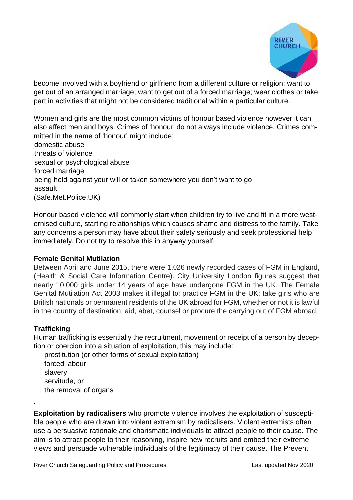

become involved with a boyfriend or girlfriend from a different culture or religion; want to get out of an arranged marriage; want to get out of a forced marriage; wear clothes or take part in activities that might not be considered traditional within a particular culture.

Women and girls are the most common victims of honour based violence however it can also affect men and boys. Crimes of 'honour' do not always include violence. Crimes committed in the name of 'honour' might include:

domestic abuse threats of violence sexual or psychological abuse forced marriage being held against your will or taken somewhere you don't want to go assault (Safe.Met.Police.UK)

Honour based violence will commonly start when children try to live and fit in a more westernised culture, starting relationships which causes shame and distress to the family. Take any concerns a person may have about their safety seriously and seek professional help immediately. Do not try to resolve this in anyway yourself.

### **Female Genital Mutilation**

Between April and June 2015, there were 1,026 newly recorded cases of FGM in England, (Health & Social Care Information Centre). City University London figures suggest that nearly 10,000 girls under 14 years of age have undergone FGM in the UK. The Female Genital Mutilation Act 2003 makes it illegal to: practice FGM in the UK; take girls who are British nationals or permanent residents of the UK abroad for FGM, whether or not it is lawful in the country of destination; aid, abet, counsel or procure the carrying out of FGM abroad.

### **Trafficking**

.

Human trafficking is essentially the recruitment, movement or receipt of a person by deception or coercion into a situation of exploitation, this may include:

prostitution (or other forms of sexual exploitation) forced labour slavery servitude, or the removal of organs

**Exploitation by radicalisers** who promote violence involves the exploitation of susceptible people who are drawn into violent extremism by radicalisers. Violent extremists often use a persuasive rationale and charismatic individuals to attract people to their cause. The aim is to attract people to their reasoning, inspire new recruits and embed their extreme views and persuade vulnerable individuals of the legitimacy of their cause. The Prevent